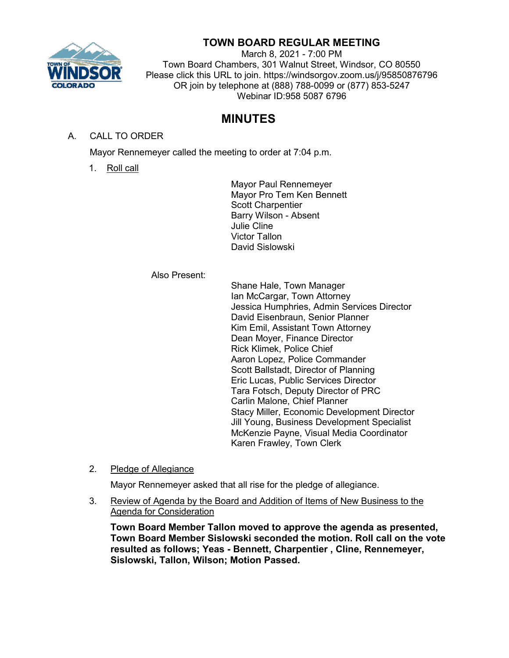

## **TOWN BOARD REGULAR MEETING**

March 8, 2021 - 7:00 PM Town Board Chambers, 301 Walnut Street, Windsor, CO 80550 Please click this URL to join. https://windsorgov.zoom.us/j/95850876796 OR join by telephone at (888) 788-0099 or (877) 853-5247 Webinar ID:958 5087 6796

# **MINUTES**

A. CALL TO ORDER

Mayor Rennemeyer called the meeting to order at 7:04 p.m.

1. Roll call

Mayor Paul Rennemeyer Mayor Pro Tem Ken Bennett Scott Charpentier Barry Wilson - Absent Julie Cline Victor Tallon David Sislowski

#### Also Present:

Shane Hale, Town Manager Ian McCargar, Town Attorney Jessica Humphries, Admin Services Director David Eisenbraun, Senior Planner Kim Emil, Assistant Town Attorney Dean Moyer, Finance Director Rick Klimek, Police Chief Aaron Lopez, Police Commander Scott Ballstadt, Director of Planning Eric Lucas, Public Services Director Tara Fotsch, Deputy Director of PRC Carlin Malone, Chief Planner Stacy Miller, Economic Development Director Jill Young, Business Development Specialist McKenzie Payne, Visual Media Coordinator Karen Frawley, Town Clerk

2. Pledge of Allegiance

Mayor Rennemeyer asked that all rise for the pledge of allegiance.

3. Review of Agenda by the Board and Addition of Items of New Business to the Agenda for Consideration

**Town Board Member Tallon moved to approve the agenda as presented, Town Board Member Sislowski seconded the motion. Roll call on the vote resulted as follows; Yeas - Bennett, Charpentier , Cline, Rennemeyer, Sislowski, Tallon, Wilson; Motion Passed.**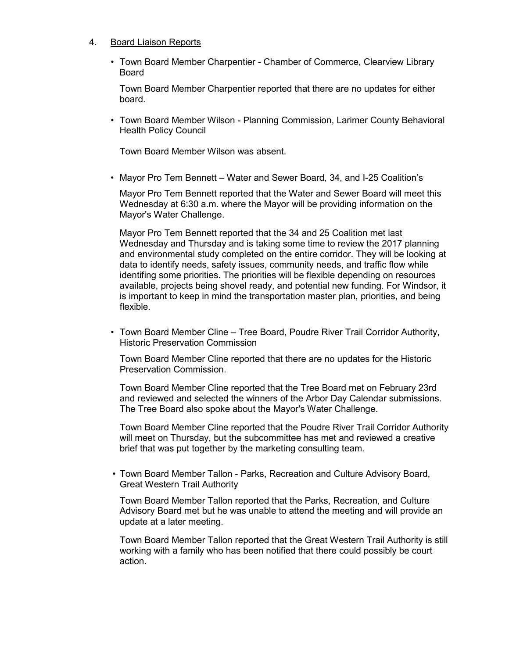#### 4. Board Liaison Reports

• Town Board Member Charpentier - Chamber of Commerce, Clearview Library Board

Town Board Member Charpentier reported that there are no updates for either board.

• Town Board Member Wilson - Planning Commission, Larimer County Behavioral Health Policy Council

Town Board Member Wilson was absent.

• Mayor Pro Tem Bennett – Water and Sewer Board, 34, and I-25 Coalition's

Mayor Pro Tem Bennett reported that the Water and Sewer Board will meet this Wednesday at 6:30 a.m. where the Mayor will be providing information on the Mayor's Water Challenge.

Mayor Pro Tem Bennett reported that the 34 and 25 Coalition met last Wednesday and Thursday and is taking some time to review the 2017 planning and environmental study completed on the entire corridor. They will be looking at data to identify needs, safety issues, community needs, and traffic flow while identifing some priorities. The priorities will be flexible depending on resources available, projects being shovel ready, and potential new funding. For Windsor, it is important to keep in mind the transportation master plan, priorities, and being flexible.

• Town Board Member Cline – Tree Board, Poudre River Trail Corridor Authority, Historic Preservation Commission

Town Board Member Cline reported that there are no updates for the Historic Preservation Commission.

Town Board Member Cline reported that the Tree Board met on February 23rd and reviewed and selected the winners of the Arbor Day Calendar submissions. The Tree Board also spoke about the Mayor's Water Challenge.

Town Board Member Cline reported that the Poudre River Trail Corridor Authority will meet on Thursday, but the subcommittee has met and reviewed a creative brief that was put together by the marketing consulting team.

• Town Board Member Tallon - Parks, Recreation and Culture Advisory Board, Great Western Trail Authority

Town Board Member Tallon reported that the Parks, Recreation, and Culture Advisory Board met but he was unable to attend the meeting and will provide an update at a later meeting.

Town Board Member Tallon reported that the Great Western Trail Authority is still working with a family who has been notified that there could possibly be court action.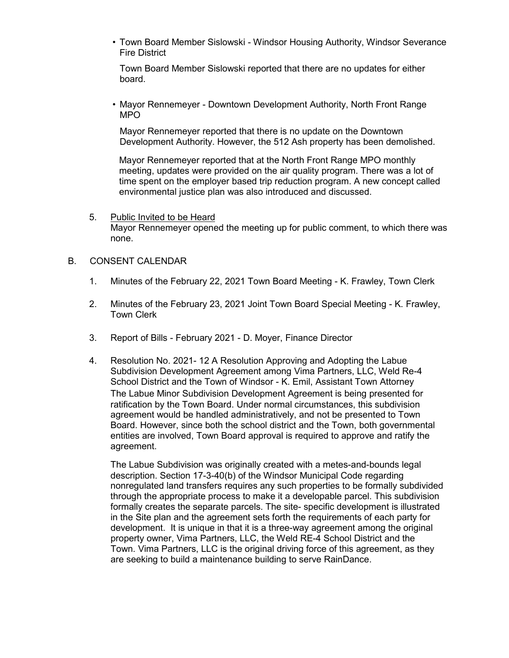• Town Board Member Sislowski - Windsor Housing Authority, Windsor Severance Fire District

Town Board Member Sislowski reported that there are no updates for either board.

• Mayor Rennemeyer - Downtown Development Authority, North Front Range MPO

Mayor Rennemeyer reported that there is no update on the Downtown Development Authority. However, the 512 Ash property has been demolished.

Mayor Rennemeyer reported that at the North Front Range MPO monthly meeting, updates were provided on the air quality program. There was a lot of time spent on the employer based trip reduction program. A new concept called environmental justice plan was also introduced and discussed.

5. Public Invited to be Heard Mayor Rennemeyer opened the meeting up for public comment, to which there was none.

#### B. CONSENT CALENDAR

- 1. Minutes of the February 22, 2021 Town Board Meeting K. Frawley, Town Clerk
- 2. Minutes of the February 23, 2021 Joint Town Board Special Meeting K. Frawley, Town Clerk
- 3. Report of Bills February 2021 D. Moyer, Finance Director
- 4. Resolution No. 2021- 12 A Resolution Approving and Adopting the Labue Subdivision Development Agreement among Vima Partners, LLC, Weld Re-4 School District and the Town of Windsor - K. Emil, Assistant Town Attorney The Labue Minor Subdivision Development Agreement is being presented for ratification by the Town Board. Under normal circumstances, this subdivision agreement would be handled administratively, and not be presented to Town Board. However, since both the school district and the Town, both governmental entities are involved, Town Board approval is required to approve and ratify the agreement.

The Labue Subdivision was originally created with a metes-and-bounds legal description. Section 17-3-40(b) of the Windsor Municipal Code regarding nonregulated land transfers requires any such properties to be formally subdivided through the appropriate process to make it a developable parcel. This subdivision formally creates the separate parcels. The site- specific development is illustrated in the Site plan and the agreement sets forth the requirements of each party for development. It is unique in that it is a three-way agreement among the original property owner, Vima Partners, LLC, the Weld RE-4 School District and the Town. Vima Partners, LLC is the original driving force of this agreement, as they are seeking to build a maintenance building to serve RainDance.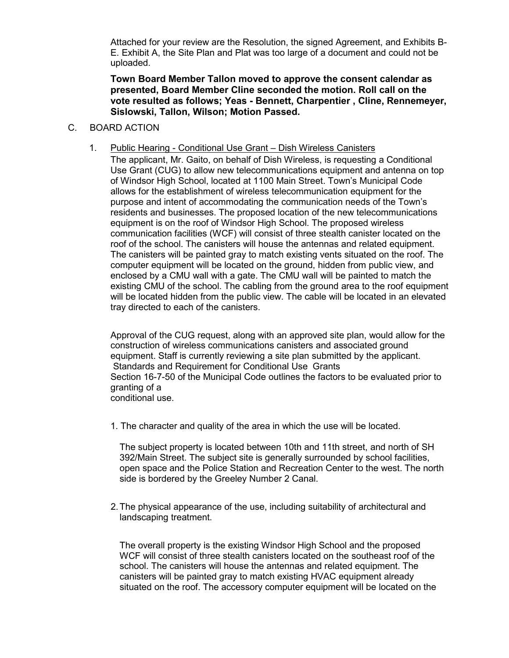Attached for your review are the Resolution, the signed Agreement, and Exhibits B-E. Exhibit A, the Site Plan and Plat was too large of a document and could not be uploaded.

**Town Board Member Tallon moved to approve the consent calendar as presented, Board Member Cline seconded the motion. Roll call on the vote resulted as follows; Yeas - Bennett, Charpentier , Cline, Rennemeyer, Sislowski, Tallon, Wilson; Motion Passed.**

#### C. BOARD ACTION

1. Public Hearing - Conditional Use Grant – Dish Wireless Canisters

The applicant, Mr. Gaito, on behalf of Dish Wireless, is requesting a Conditional Use Grant (CUG) to allow new telecommunications equipment and antenna on top of Windsor High School, located at 1100 Main Street. Town's Municipal Code allows for the establishment of wireless telecommunication equipment for the purpose and intent of accommodating the communication needs of the Town's residents and businesses. The proposed location of the new telecommunications equipment is on the roof of Windsor High School. The proposed wireless communication facilities (WCF) will consist of three stealth canister located on the roof of the school. The canisters will house the antennas and related equipment. The canisters will be painted gray to match existing vents situated on the roof. The computer equipment will be located on the ground, hidden from public view, and enclosed by a CMU wall with a gate. The CMU wall will be painted to match the existing CMU of the school. The cabling from the ground area to the roof equipment will be located hidden from the public view. The cable will be located in an elevated tray directed to each of the canisters.

Approval of the CUG request, along with an approved site plan, would allow for the construction of wireless communications canisters and associated ground equipment. Staff is currently reviewing a site plan submitted by the applicant. Standards and Requirement for Conditional Use Grants Section 16-7-50 of the Municipal Code outlines the factors to be evaluated prior to granting of a conditional use.

1. The character and quality of the area in which the use will be located.

The subject property is located between 10th and 11th street, and north of SH 392/Main Street. The subject site is generally surrounded by school facilities, open space and the Police Station and Recreation Center to the west. The north side is bordered by the Greeley Number 2 Canal.

2.The physical appearance of the use, including suitability of architectural and landscaping treatment.

The overall property is the existing Windsor High School and the proposed WCF will consist of three stealth canisters located on the southeast roof of the school. The canisters will house the antennas and related equipment. The canisters will be painted gray to match existing HVAC equipment already situated on the roof. The accessory computer equipment will be located on the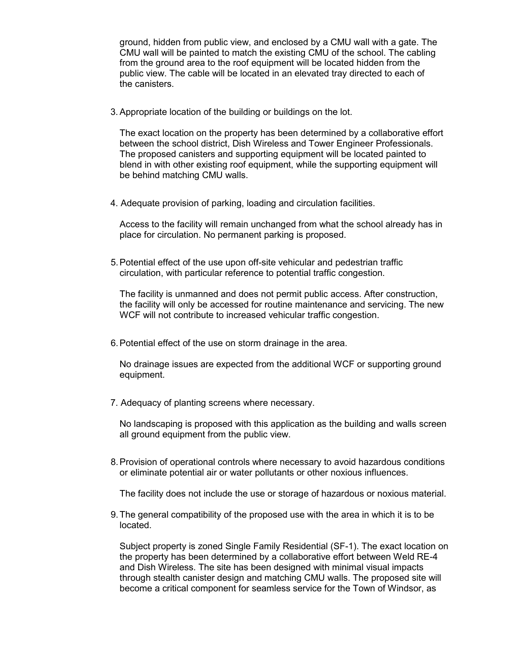ground, hidden from public view, and enclosed by a CMU wall with a gate. The CMU wall will be painted to match the existing CMU of the school. The cabling from the ground area to the roof equipment will be located hidden from the public view. The cable will be located in an elevated tray directed to each of the canisters.

3. Appropriate location of the building or buildings on the lot.

The exact location on the property has been determined by a collaborative effort between the school district, Dish Wireless and Tower Engineer Professionals. The proposed canisters and supporting equipment will be located painted to blend in with other existing roof equipment, while the supporting equipment will be behind matching CMU walls.

4. Adequate provision of parking, loading and circulation facilities.

Access to the facility will remain unchanged from what the school already has in place for circulation. No permanent parking is proposed.

5.Potential effect of the use upon off-site vehicular and pedestrian traffic circulation, with particular reference to potential traffic congestion.

The facility is unmanned and does not permit public access. After construction, the facility will only be accessed for routine maintenance and servicing. The new WCF will not contribute to increased vehicular traffic congestion.

6.Potential effect of the use on storm drainage in the area.

No drainage issues are expected from the additional WCF or supporting ground equipment.

7. Adequacy of planting screens where necessary.

No landscaping is proposed with this application as the building and walls screen all ground equipment from the public view.

8.Provision of operational controls where necessary to avoid hazardous conditions or eliminate potential air or water pollutants or other noxious influences.

The facility does not include the use or storage of hazardous or noxious material.

9.The general compatibility of the proposed use with the area in which it is to be located.

Subject property is zoned Single Family Residential (SF-1). The exact location on the property has been determined by a collaborative effort between Weld RE-4 and Dish Wireless. The site has been designed with minimal visual impacts through stealth canister design and matching CMU walls. The proposed site will become a critical component for seamless service for the Town of Windsor, as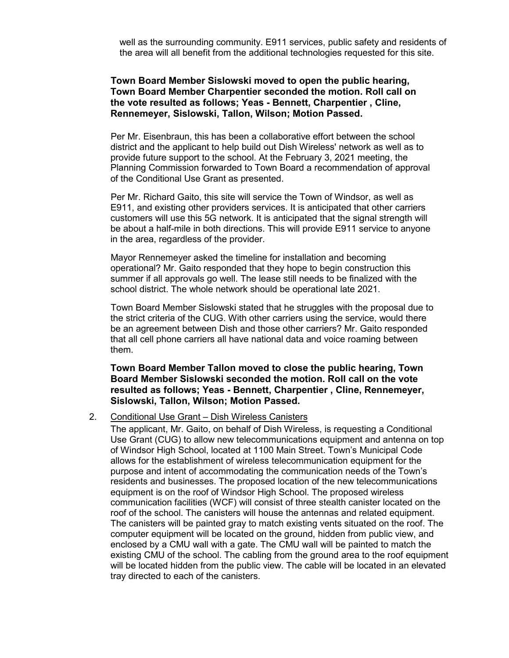well as the surrounding community. E911 services, public safety and residents of the area will all benefit from the additional technologies requested for this site.

#### **Town Board Member Sislowski moved to open the public hearing, Town Board Member Charpentier seconded the motion. Roll call on the vote resulted as follows; Yeas - Bennett, Charpentier , Cline, Rennemeyer, Sislowski, Tallon, Wilson; Motion Passed.**

Per Mr. Eisenbraun, this has been a collaborative effort between the school district and the applicant to help build out Dish Wireless' network as well as to provide future support to the school. At the February 3, 2021 meeting, the Planning Commission forwarded to Town Board a recommendation of approval of the Conditional Use Grant as presented.

Per Mr. Richard Gaito, this site will service the Town of Windsor, as well as E911, and existing other providers services. It is anticipated that other carriers customers will use this 5G network. It is anticipated that the signal strength will be about a half-mile in both directions. This will provide E911 service to anyone in the area, regardless of the provider.

Mayor Rennemeyer asked the timeline for installation and becoming operational? Mr. Gaito responded that they hope to begin construction this summer if all approvals go well. The lease still needs to be finalized with the school district. The whole network should be operational late 2021.

Town Board Member Sislowski stated that he struggles with the proposal due to the strict criteria of the CUG. With other carriers using the service, would there be an agreement between Dish and those other carriers? Mr. Gaito responded that all cell phone carriers all have national data and voice roaming between them.

**Town Board Member Tallon moved to close the public hearing, Town Board Member Sislowski seconded the motion. Roll call on the vote resulted as follows; Yeas - Bennett, Charpentier , Cline, Rennemeyer, Sislowski, Tallon, Wilson; Motion Passed.**

## 2. Conditional Use Grant – Dish Wireless Canisters

The applicant, Mr. Gaito, on behalf of Dish Wireless, is requesting a Conditional Use Grant (CUG) to allow new telecommunications equipment and antenna on top of Windsor High School, located at 1100 Main Street. Town's Municipal Code allows for the establishment of wireless telecommunication equipment for the purpose and intent of accommodating the communication needs of the Town's residents and businesses. The proposed location of the new telecommunications equipment is on the roof of Windsor High School. The proposed wireless communication facilities (WCF) will consist of three stealth canister located on the roof of the school. The canisters will house the antennas and related equipment. The canisters will be painted gray to match existing vents situated on the roof. The computer equipment will be located on the ground, hidden from public view, and enclosed by a CMU wall with a gate. The CMU wall will be painted to match the existing CMU of the school. The cabling from the ground area to the roof equipment will be located hidden from the public view. The cable will be located in an elevated tray directed to each of the canisters.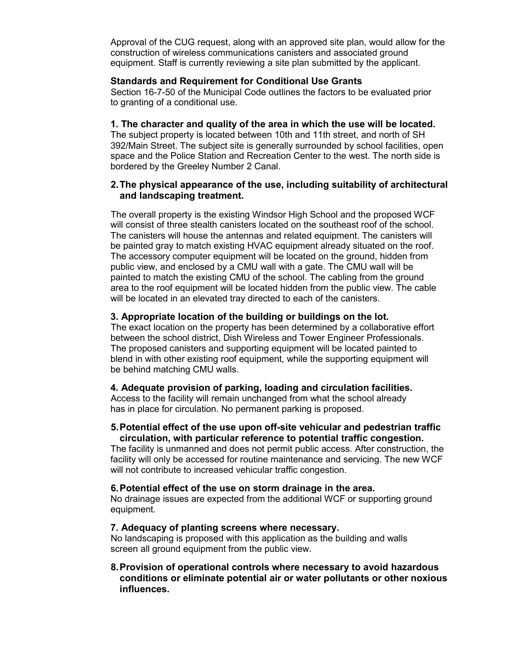Approval of the CUG request, along with an approved site plan, would allow for the construction of wireless communications canisters and associated ground equipment. Staff is currently reviewing a site plan submitted by the applicant.

#### **Standards and Requirement for Conditional Use Grants**

Section 16-7-50 of the Municipal Code outlines the factors to be evaluated prior to granting of a conditional use.

#### **1. The character and quality of the area in which the use will be located.**

The subject property is located between 10th and 11th street, and north of SH 392/Main Street. The subject site is generally surrounded by school facilities, open space and the Police Station and Recreation Center to the west. The north side is bordered by the Greeley Number 2 Canal.

## **2.The physical appearance of the use, including suitability of architectural and landscaping treatment.**

The overall property is the existing Windsor High School and the proposed WCF will consist of three stealth canisters located on the southeast roof of the school. The canisters will house the antennas and related equipment. The canisters will be painted gray to match existing HVAC equipment already situated on the roof. The accessory computer equipment will be located on the ground, hidden from public view, and enclosed by a CMU wall with a gate. The CMU wall will be painted to match the existing CMU of the school. The cabling from the ground area to the roof equipment will be located hidden from the public view. The cable will be located in an elevated tray directed to each of the canisters.

## **3. Appropriate location of the building or buildings on the lot.**

The exact location on the property has been determined by a collaborative effort between the school district, Dish Wireless and Tower Engineer Professionals. The proposed canisters and supporting equipment will be located painted to blend in with other existing roof equipment, while the supporting equipment will be behind matching CMU walls.

## **4. Adequate provision of parking, loading and circulation facilities.**

Access to the facility will remain unchanged from what the school already has in place for circulation. No permanent parking is proposed.

## **5.Potential effect of the use upon off-site vehicular and pedestrian traffic circulation, with particular reference to potential traffic congestion.**

The facility is unmanned and does not permit public access. After construction, the facility will only be accessed for routine maintenance and servicing. The new WCF will not contribute to increased vehicular traffic congestion.

## **6.Potential effect of the use on storm drainage in the area.**

No drainage issues are expected from the additional WCF or supporting ground equipment.

## **7. Adequacy of planting screens where necessary.**

No landscaping is proposed with this application as the building and walls screen all ground equipment from the public view.

## **8.Provision of operational controls where necessary to avoid hazardous conditions or eliminate potential air or water pollutants or other noxious influences.**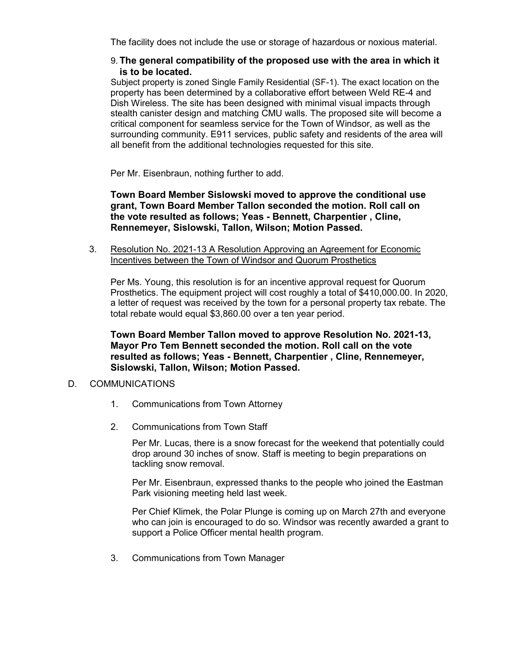The facility does not include the use or storage of hazardous or noxious material.

#### 9. **The general compatibility of the proposed use with the area in which it is to be located.**

Subject property is zoned Single Family Residential (SF-1). The exact location on the property has been determined by a collaborative effort between Weld RE-4 and Dish Wireless. The site has been designed with minimal visual impacts through stealth canister design and matching CMU walls. The proposed site will become a critical component for seamless service for the Town of Windsor, as well as the surrounding community. E911 services, public safety and residents of the area will all benefit from the additional technologies requested for this site.

Per Mr. Eisenbraun, nothing further to add.

**Town Board Member Sislowski moved to approve the conditional use grant, Town Board Member Tallon seconded the motion. Roll call on the vote resulted as follows; Yeas - Bennett, Charpentier , Cline, Rennemeyer, Sislowski, Tallon, Wilson; Motion Passed.**

3. Resolution No. 2021-13 A Resolution Approving an Agreement for Economic Incentives between the Town of Windsor and Quorum Prosthetics

Per Ms. Young, this resolution is for an incentive approval request for Quorum Prosthetics. The equipment project will cost roughly a total of \$410,000.00. In 2020, a letter of request was received by the town for a personal property tax rebate. The total rebate would equal \$3,860.00 over a ten year period.

**Town Board Member Tallon moved to approve Resolution No. 2021-13, Mayor Pro Tem Bennett seconded the motion. Roll call on the vote resulted as follows; Yeas - Bennett, Charpentier , Cline, Rennemeyer, Sislowski, Tallon, Wilson; Motion Passed.**

## D. COMMUNICATIONS

- 1. Communications from Town Attorney
- 2. Communications from Town Staff

Per Mr. Lucas, there is a snow forecast for the weekend that potentially could drop around 30 inches of snow. Staff is meeting to begin preparations on tackling snow removal.

Per Mr. Eisenbraun, expressed thanks to the people who joined the Eastman Park visioning meeting held last week.

Per Chief Klimek, the Polar Plunge is coming up on March 27th and everyone who can join is encouraged to do so. Windsor was recently awarded a grant to support a Police Officer mental health program.

3. Communications from Town Manager